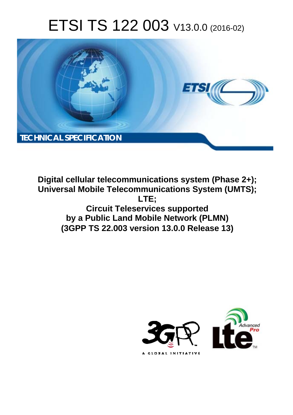# ETSI TS 122 003 V13.0.0 (2016-02)



**Digital cellular telecommunications system (Phase 2+); Universal Mobile Tel elecommunications System ( (UMTS); Circuit Teleservices supported by a Public Land Mobile Network (PLMN) (3GPP TS 22.0 .003 version 13.0.0 Release 13 13) LTE;** 

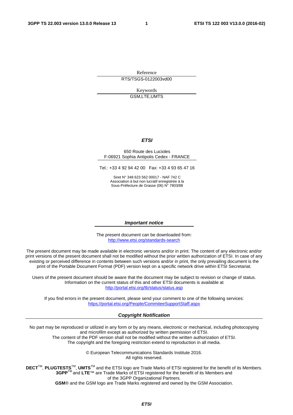Reference RTS/TSGS-0122003vd00

> Keywords GSM,LTE,UMTS

#### *ETSI*

#### 650 Route des Lucioles F-06921 Sophia Antipolis Cedex - FRANCE

Tel.: +33 4 92 94 42 00 Fax: +33 4 93 65 47 16

Siret N° 348 623 562 00017 - NAF 742 C Association à but non lucratif enregistrée à la Sous-Préfecture de Grasse (06) N° 7803/88

#### *Important notice*

The present document can be downloaded from: <http://www.etsi.org/standards-search>

The present document may be made available in electronic versions and/or in print. The content of any electronic and/or print versions of the present document shall not be modified without the prior written authorization of ETSI. In case of any existing or perceived difference in contents between such versions and/or in print, the only prevailing document is the print of the Portable Document Format (PDF) version kept on a specific network drive within ETSI Secretariat.

Users of the present document should be aware that the document may be subject to revision or change of status. Information on the current status of this and other ETSI documents is available at <http://portal.etsi.org/tb/status/status.asp>

If you find errors in the present document, please send your comment to one of the following services: <https://portal.etsi.org/People/CommiteeSupportStaff.aspx>

#### *Copyright Notification*

No part may be reproduced or utilized in any form or by any means, electronic or mechanical, including photocopying and microfilm except as authorized by written permission of ETSI.

The content of the PDF version shall not be modified without the written authorization of ETSI. The copyright and the foregoing restriction extend to reproduction in all media.

> © European Telecommunications Standards Institute 2016. All rights reserved.

**DECT**TM, **PLUGTESTS**TM, **UMTS**TM and the ETSI logo are Trade Marks of ETSI registered for the benefit of its Members. **3GPP**TM and **LTE**™ are Trade Marks of ETSI registered for the benefit of its Members and of the 3GPP Organizational Partners.

**GSM**® and the GSM logo are Trade Marks registered and owned by the GSM Association.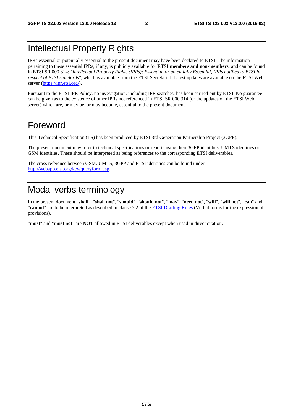### Intellectual Property Rights

IPRs essential or potentially essential to the present document may have been declared to ETSI. The information pertaining to these essential IPRs, if any, is publicly available for **ETSI members and non-members**, and can be found in ETSI SR 000 314: *"Intellectual Property Rights (IPRs); Essential, or potentially Essential, IPRs notified to ETSI in respect of ETSI standards"*, which is available from the ETSI Secretariat. Latest updates are available on the ETSI Web server [\(https://ipr.etsi.org/\)](https://ipr.etsi.org/).

Pursuant to the ETSI IPR Policy, no investigation, including IPR searches, has been carried out by ETSI. No guarantee can be given as to the existence of other IPRs not referenced in ETSI SR 000 314 (or the updates on the ETSI Web server) which are, or may be, or may become, essential to the present document.

### Foreword

This Technical Specification (TS) has been produced by ETSI 3rd Generation Partnership Project (3GPP).

The present document may refer to technical specifications or reports using their 3GPP identities, UMTS identities or GSM identities. These should be interpreted as being references to the corresponding ETSI deliverables.

The cross reference between GSM, UMTS, 3GPP and ETSI identities can be found under [http://webapp.etsi.org/key/queryform.asp.](http://webapp.etsi.org/key/queryform.asp)

## Modal verbs terminology

In the present document "**shall**", "**shall not**", "**should**", "**should not**", "**may**", "**need not**", "**will**", "**will not**", "**can**" and "**cannot**" are to be interpreted as described in clause 3.2 of the [ETSI Drafting Rules](http://portal.etsi.org/Help/editHelp!/Howtostart/ETSIDraftingRules.aspx) (Verbal forms for the expression of provisions).

"**must**" and "**must not**" are **NOT** allowed in ETSI deliverables except when used in direct citation.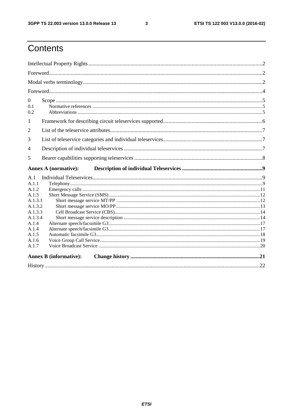$\mathbf{3}$ 

## Contents

| $\mathbf{0}$<br>0.1<br>0.2 |                               |  |
|----------------------------|-------------------------------|--|
| $\mathbf{1}$               |                               |  |
| 2                          |                               |  |
| 3                          |                               |  |
| $\overline{4}$             |                               |  |
| 5                          |                               |  |
|                            |                               |  |
|                            | <b>Annex A (normative):</b>   |  |
| A.1                        |                               |  |
| A.1.1                      |                               |  |
| A.1.2                      |                               |  |
| A.1.3                      |                               |  |
| A.1.3.1                    |                               |  |
| A.1.3.2                    |                               |  |
| A.1.3.3<br>A.1.3.4         |                               |  |
| A.1.4                      |                               |  |
| A.1.4                      |                               |  |
| A.1.5                      |                               |  |
| A.1.6                      |                               |  |
| A.1.7                      |                               |  |
|                            | <b>Annex B</b> (informative): |  |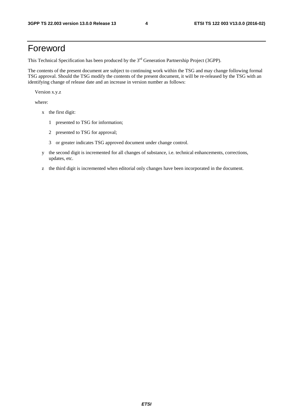### Foreword

This Technical Specification has been produced by the 3<sup>rd</sup> Generation Partnership Project (3GPP).

The contents of the present document are subject to continuing work within the TSG and may change following formal TSG approval. Should the TSG modify the contents of the present document, it will be re-released by the TSG with an identifying change of release date and an increase in version number as follows:

Version x.y.z

where:

- x the first digit:
	- 1 presented to TSG for information;
	- 2 presented to TSG for approval;
	- 3 or greater indicates TSG approved document under change control.
- y the second digit is incremented for all changes of substance, i.e. technical enhancements, corrections, updates, etc.
- z the third digit is incremented when editorial only changes have been incorporated in the document.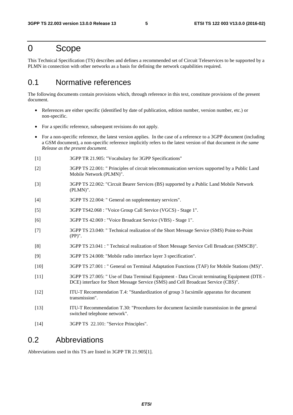### 0 Scope

This Technical Specification (TS) describes and defines a recommended set of Circuit Teleservices to be supported by a PLMN in connection with other networks as a basis for defining the network capabilities required.

### 0.1 Normative references

The following documents contain provisions which, through reference in this text, constitute provisions of the present document.

- References are either specific (identified by date of publication, edition number, version number, etc.) or non-specific.
- For a specific reference, subsequent revisions do not apply.
- For a non-specific reference, the latest version applies. In the case of a reference to a 3GPP document (including a GSM document), a non-specific reference implicitly refers to the latest version of that document *in the same Release as the present document*.
- [1] 3GPP TR 21.905: "Vocabulary for 3GPP Specifications"
- [2] 3GPP TS 22.001: " Principles of circuit telecommunication services supported by a Public Land Mobile Network (PLMN)".
- [3] 3GPP TS 22.002: "Circuit Bearer Services (BS) supported by a Public Land Mobile Network (PLMN)".
- [4] 3GPP TS 22.004: " General on supplementary services".
- [5] 3GPP TS42.068 : "Voice Group Call Service (VGCS) Stage 1".
- [6] 3GPP TS 42.069 : "Voice Broadcast Service (VBS) Stage 1".
- [7] 3GPP TS 23.040: " Technical realization of the Short Message Service (SMS) Point-to-Point (PP)".
- [8] 3GPP TS 23.041 : " Technical realization of Short Message Service Cell Broadcast (SMSCB)".
- [9] 3GPP TS 24.008: "Mobile radio interface layer 3 specification".
- [10] 3GPP TS 27.001 : " General on Terminal Adaptation Functions (TAF) for Mobile Stations (MS)".
- [11] 3GPP TS 27.005: " Use of Data Terminal Equipment Data Circuit terminating Equipment (DTE DCE) interface for Short Message Service (SMS) and Cell Broadcast Service (CBS)".
- [12] ITU-T Recommendation T.4: "Standardization of group 3 facsimile apparatus for document transmission".
- [13] ITU-T Recommendation T.30: "Procedures for document facsimile transmission in the general switched telephone network".
- [14] 3GPP TS 22.101: "Service Principles".

### 0.2 Abbreviations

Abbreviations used in this TS are listed in 3GPP TR 21.905[1].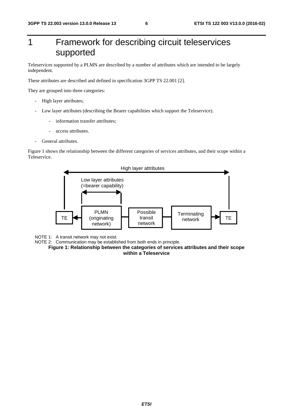## 1 Framework for describing circuit teleservices supported

Teleservices supported by a PLMN are described by a number of attributes which are intended to be largely independent.

These attributes are described and defined in specification 3GPP TS 22.001 [2].

They are grouped into three categories:

- High layer attributes;
- Low layer attributes (describing the Bearer capabilities which support the Teleservice).
	- information transfer attributes;
	- access attributes.
- General attributes.

Figure 1 shows the relationship between the different categories of services attributes, and their scope within a Teleservice.



NOTE 1: A transit network may not exist.

NOTE 2: Communication may be established from both ends in principle.

**Figure 1: Relationship between the categories of services attributes and their scope within a Teleservice**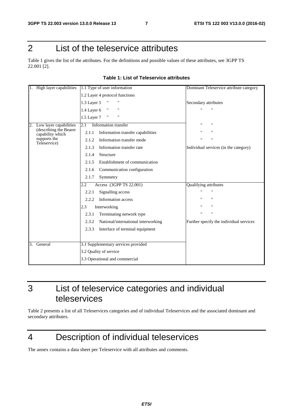## 2 List of the teleservice attributes

Table 1 gives the list of the attributes. For the definitions and possible values of these attributes, see 3GPP TS 22.001 [2].

| High layer capabilities                    | 1.1 Type of user information                 | Dominant Teleservice attribute category |
|--------------------------------------------|----------------------------------------------|-----------------------------------------|
|                                            | 1.2 Layer 4 protocol functions               |                                         |
|                                            | 1.3 Layer 5                                  | Secondary attributes                    |
|                                            | "<br>11<br>1.4 Layer 6                       | $^{\prime}$                             |
|                                            | "<br>11<br>1.5 Layer 7                       |                                         |
| Low layer capabilities<br>2.               | Information transfer<br>2.1                  | $^{\prime\prime}$                       |
| (describing the Bearer<br>capability which | Information transfer capabilities<br>2.1.1   | $^{\prime}$                             |
| supports the<br>Teleservice)               | Information transfer mode<br>2.1.2           | $\mathbf{H}$<br>$\pmb{\mathsf{H}}$      |
|                                            | Information transfer rate<br>2.1.3           | Individual services (in the category)   |
|                                            | 2.1.4<br>Structure                           |                                         |
|                                            | Establishment of communication<br>2.1.5      |                                         |
|                                            | Communication configuration<br>2.1.6         |                                         |
|                                            | 2.1.7<br>Symmetry                            |                                         |
|                                            | Access (3GPP TS 22.001)<br>$2.2\,$           | Qualifying attributes                   |
|                                            | Signalling access<br>2.2.1                   | $^{\prime\prime}$                       |
|                                            | Information access<br>2.2.2                  | $^{\prime\prime}$                       |
|                                            | 2.3<br>Interworking                          | $\pmb{\mathsf{H}}$                      |
|                                            | Terminating network type<br>2.3.1            | $\pmb{\mathsf{H}}$<br>п                 |
|                                            | 2.3.2<br>National/international interworking | Further specify the individual services |
|                                            | Interface of terminal equipment<br>2.3.3     |                                         |
|                                            |                                              |                                         |
| General<br>3.                              | 3.1 Supplementary services provided          |                                         |
|                                            | 3.2 Quality of service                       |                                         |
|                                            | 3.3 Operational and commercial               |                                         |

#### **Table 1: List of Teleservice attributes**

3 List of teleservice categories and individual teleservices

Table 2 presents a list of all Teleservices categories and of individual Teleservices and the associated dominant and secondary attributes.

## 4 Description of individual teleservices

The annex contains a data sheet per Teleservice with all attributes and comments.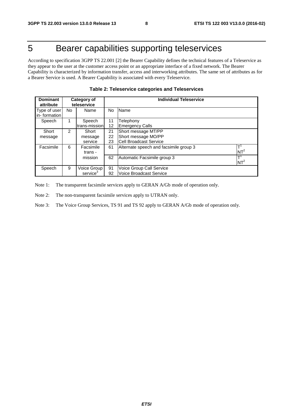## 5 Bearer capabilities supporting teleservices

According to specification 3GPP TS 22.001 [2] the Bearer Capability defines the technical features of a Teleservice as they appear to the user at the customer access point or an appropriate interface of a fixed network. The Bearer Capability is characterized by information transfer, access and interworking attributes. The same set of attributes as for a Bearer Service is used. A Bearer Capability is associated with every Teleservice.

| <b>Dominant</b><br>Category of<br>teleservice<br>attribute   |                      |               | <b>Individual Teleservice</b> |                                        |                 |  |  |
|--------------------------------------------------------------|----------------------|---------------|-------------------------------|----------------------------------------|-----------------|--|--|
| Type of user<br>in-formation                                 | No                   | Name          | No                            | Name                                   |                 |  |  |
|                                                              |                      |               |                               |                                        |                 |  |  |
| Speech                                                       |                      | Speech        | 11                            | Felephony                              |                 |  |  |
|                                                              |                      | trans-mission | 12                            | Emergency Calls                        |                 |  |  |
| Short                                                        | 2                    | Short         | Short message MT/PP<br>21     |                                        |                 |  |  |
| message                                                      |                      | message       | 22                            | Short message MO/PP                    |                 |  |  |
|                                                              |                      | service       | 23                            | <b>Cell Broadcast Service</b>          |                 |  |  |
| Facsimile                                                    | 6                    | Facsimile     | 61                            | Alternate speech and facsimile group 3 | ┯               |  |  |
|                                                              |                      | trans -       |                               |                                        | NT <sup>2</sup> |  |  |
|                                                              |                      | mission       | 62                            | Automatic Facsimile group 3            | $\mathsf{T}^1$  |  |  |
|                                                              |                      |               |                               |                                        | $NT^2$          |  |  |
| 9<br>Voice Group<br>91<br>Voice Group Call Service<br>Speech |                      |               |                               |                                        |                 |  |  |
|                                                              | service <sup>3</sup> |               | 92                            | Voice Broadcast Service                |                 |  |  |

Note 1: The transparent facsimile services apply to GERAN A/Gb mode of operation only.

Note 2: The non-transparent facsimile services apply to UTRAN only.

Note 3: The Voice Group Services, TS 91 and TS 92 apply to GERAN A/Gb mode of operation only.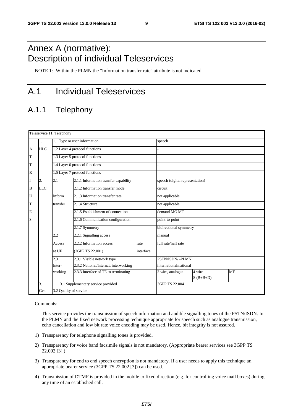## Annex A (normative): Description of individual Teleservices

NOTE 1: Within the PLMN the "Information transfer rate" attribute is not indicated.

## A.1 Individual Teleservices

### A.1.1 Telephony

|              |            | Teleservice 11, Telephony |                                       |           |                                 |                       |           |  |
|--------------|------------|---------------------------|---------------------------------------|-----------|---------------------------------|-----------------------|-----------|--|
|              | 1.         |                           | 1.1 Type or user information          |           | speech                          |                       |           |  |
| A            | <b>HLC</b> |                           | 1.2 Layer 4 protocol functions        |           |                                 |                       |           |  |
| T            |            |                           | 1.3 Layer 5 protocol functions        |           |                                 |                       |           |  |
| T            |            |                           | 1.4 Layer 6 protocol functions        |           |                                 |                       |           |  |
| $\mathbb{R}$ |            |                           | 1.5 Layer 7 protocol functions        |           |                                 |                       |           |  |
| I            | 2.         | 2.1                       | 2.1.1 Information transfer capability |           | speech (digital representation) |                       |           |  |
| B            | <b>LLC</b> |                           | 2.1.2 Information transfer mode       |           | circuit                         |                       |           |  |
| U            |            | Inform                    | 2.1.3 Information transfer rate       |           | not applicable                  |                       |           |  |
| T            |            | transfer                  | 2.1.4 Structure                       |           | not applicable                  |                       |           |  |
| E            |            |                           | 2.1.5 Establishment of connection     |           | demand MO MT                    |                       |           |  |
| S            |            |                           | 2.1.6 Communication configuration     |           | point-to-point                  |                       |           |  |
|              |            |                           | 2.1.7 Symmetry                        |           | bidirectional symmetry          |                       |           |  |
|              |            | 2.2                       | 2.2.1 Signalling access               |           | manual                          |                       |           |  |
|              |            | Access                    | 2.2.2 Information access              | rate      | full rate/half rate             |                       |           |  |
|              |            | at UE                     | (3GPP TS 22.001)                      | interface |                                 |                       |           |  |
|              |            | 2.3                       | 2.3.1 Visible network type            |           | PSTN/ISDN/-PLMN                 |                       |           |  |
|              |            | Inter-                    | 2.3.2 National/Internat. interworking |           | international/national          |                       |           |  |
|              |            | working                   | 2.3.3 Interface of TE to terminating  |           | 2 wire, analogue                | 4 wire<br>$S$ (B+B+D) | <b>ME</b> |  |
|              | 3.         |                           | 3.1 Supplementary service provided    |           | 3GPP TS 22.004                  |                       |           |  |
|              | Gen        | 3.2 Quality of service    |                                       |           |                                 |                       |           |  |

Comments:

 This service provides the transmission of speech information and audible signalling tones of the PSTN/ISDN. In the PLMN and the fixed network processing technique appropriate for speech such as analogue transmission, echo cancellation and low bit rate voice encoding may be used. Hence, bit integrity is not assured.

- 1) Transparency for telephone signalling tones is provided.
- 2) Transparency for voice band facsimile signals is not mandatory. (Appropriate bearer services see 3GPP TS 22.002 [3].)
- 3) Transparency for end to end speech encryption is not mandatory. If a user needs to apply this technique an appropriate bearer service (3GPP TS 22.002 [3]) can be used.
- 4) Transmission of DTMF is provided in the mobile to fixed direction (e.g. for controlling voice mail boxes) during any time of an established call.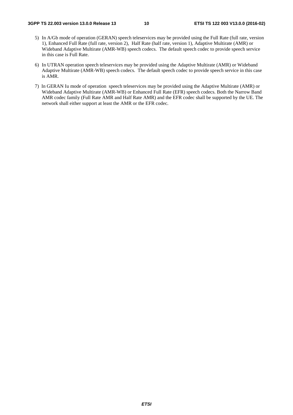- 5) In A/Gb mode of operation (GERAN) speech teleservices may be provided using the Full Rate (full rate, version 1), Enhanced Full Rate (full rate, version 2), Half Rate (half rate, version 1), Adaptive Multirate (AMR) or Wideband Adaptive Multirate (AMR-WB) speech codecs. The default speech codec to provide speech service in this case is Full Rate.
- 6) In UTRAN operation speech teleservices may be provided using the Adaptive Multirate (AMR) or Wideband Adaptive Multirate (AMR-WB) speech codecs. The default speech codec to provide speech service in this case is AMR.
- 7) In GERAN Iu mode of operation speech teleservices may be provided using the Adaptive Multirate (AMR) or Wideband Adaptive Multirate (AMR-WB) or Enhanced Full Rate (EFR) speech codecs. Both the Narrow Band AMR codec family (Full Rate AMR and Half Rate AMR) and the EFR codec shall be supported by the UE. The network shall either support at least the AMR or the EFR codec.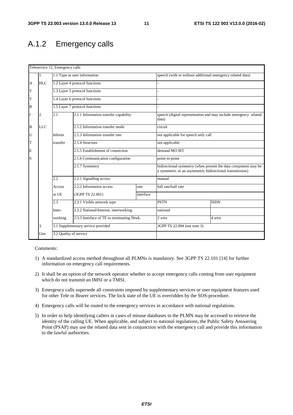### A.1.2 Emergency calls

|   | 1.         |                        |                                            |           |                                                                                                                            |                                                                  |  |
|---|------------|------------------------|--------------------------------------------|-----------|----------------------------------------------------------------------------------------------------------------------------|------------------------------------------------------------------|--|
|   |            |                        | 1.1 Type or user information               |           | speech (with or without additional emergency related data)                                                                 |                                                                  |  |
| A | <b>HLC</b> |                        | 1.2 Layer 4 protocol functions             |           |                                                                                                                            |                                                                  |  |
| T |            |                        | 1.3 Layer 5 protocol functions             |           |                                                                                                                            |                                                                  |  |
| T |            |                        | 1.4 Layer 6 protocol functions             |           |                                                                                                                            |                                                                  |  |
| R |            |                        | 1.5 Layer 7 protocol functions             |           |                                                                                                                            |                                                                  |  |
| I | 2.         | 2.1                    | 2.1.1 Information transfer capability      |           | data)                                                                                                                      | speech (digital representation and may include emergency related |  |
| B | <b>LLC</b> |                        | 2.1.2 Information transfer mode            |           | circuit                                                                                                                    |                                                                  |  |
| U |            | Inform                 | 2.1.3 Information transfer rate            |           | not applicable for speech only call                                                                                        |                                                                  |  |
| T |            | transfer               | 2.1.4 Structure                            |           | not applicable                                                                                                             |                                                                  |  |
| E |            |                        | 2.1.5 Establishment of connection          |           | demand MO MT                                                                                                               |                                                                  |  |
| S |            |                        | 2.1.6 Communication configuration          |           | point-to-point                                                                                                             |                                                                  |  |
|   |            |                        | 2.1.7 Symmetry                             |           | bidirectional symmetry (when present the data component may be<br>a symmetric or an asymmetric bidirectional transmission) |                                                                  |  |
|   |            | 2.2                    | 2.2.1 Signalling access                    |           | manual                                                                                                                     |                                                                  |  |
|   |            | Access                 | 2.2.2 Information access                   | rate      | full rate/half rate                                                                                                        |                                                                  |  |
|   |            | at UE                  | (3GPP TS 22.001)                           | interface |                                                                                                                            |                                                                  |  |
|   |            | 2.3                    | 2.3.1 Visible network type                 |           | <b>PSTN</b>                                                                                                                | <b>ISDN</b>                                                      |  |
|   |            | Inter-                 | 2.3.2 National/Internat. interworking      |           | national                                                                                                                   |                                                                  |  |
|   |            | working                | 2.3.3 Interface of TE to terminating Ntwk. |           | 2 wire<br>4 wire                                                                                                           |                                                                  |  |
|   | 3.         |                        | 3.1 Supplementary service provided         |           | 3GPP TS 22.004 (see note 3)                                                                                                |                                                                  |  |
|   | Gen        | 3.2 Quality of service |                                            |           |                                                                                                                            |                                                                  |  |

- 1) A standardized access method throughout all PLMNs is mandatory. See 3GPP TS 22.101 [14] for further information on emergency call requirements.
- 2) It shall be an option of the network operator whether to accept emergency calls coming from user equipment which do not transmit an IMSI or a TMSI.
- 3) Emergency calls supersede all constraints imposed by supplementary services or user equipment features used for other Tele or Bearer services. The lock state of the UE is overridden by the SOS-procedure.
- 4) Emergency calls will be routed to the emergency services in accordance with national regulations.
- 5) In order to help identifying callers in cases of misuse databases in the PLMN may be accessed to retrieve the identity of the calling UE. When applicable, and subject to national regulations, the Public Safety Answering Point (PSAP) may use the related data sent in conjunction with the emergency call and provide this information to the lawful authorities.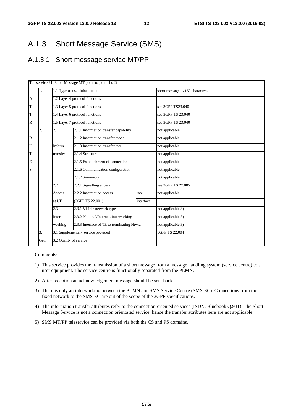### A.1.3 Short Message Service (SMS)

### A.1.3.1 Short message service MT/PP

|                |     |                                                                                                          | Teleservice 21, Short Message MT point-to-point 1), 2) |                   |                                      |  |
|----------------|-----|----------------------------------------------------------------------------------------------------------|--------------------------------------------------------|-------------------|--------------------------------------|--|
|                | 1.  |                                                                                                          | 1.1 Type or user information                           |                   | short message, $\leq 160$ characters |  |
| $\overline{A}$ |     |                                                                                                          | 1.2 Layer 4 protocol functions                         |                   |                                      |  |
| T              |     |                                                                                                          | 1.3 Layer 5 protocol functions                         |                   | see 3GPP TS23.040                    |  |
| $\mathbf T$    |     |                                                                                                          | 1.4 Layer 6 protocol functions                         |                   | see 3GPP TS 23.040                   |  |
| $\mathbb R$    |     |                                                                                                          | 1.5 Layer 7 protocol functions                         |                   | see 3GPP TS 23.040                   |  |
| I              | 2.  | 2.1                                                                                                      | 2.1.1 Information transfer capability                  |                   | not applicable                       |  |
| B              |     |                                                                                                          | 2.1.2 Information transfer mode                        |                   | not applicable                       |  |
| U              |     | Inform                                                                                                   | 2.1.3 Information transfer rate                        |                   | not applicable                       |  |
| T              |     | transfer                                                                                                 | 2.1.4 Structure                                        |                   | not applicable<br>not applicable     |  |
| E              |     |                                                                                                          | 2.1.5 Establishment of connection                      |                   |                                      |  |
| S              |     |                                                                                                          | 2.1.6 Communication configuration                      |                   | not applicable                       |  |
|                |     |                                                                                                          | 2.1.7 Symmetry                                         |                   | not applicable                       |  |
|                |     | 2.2                                                                                                      | 2.2.1 Signalling access                                |                   | see 3GPP TS 27.005                   |  |
|                |     | Access                                                                                                   | 2.2.2 Information access                               | rate              | not applicable                       |  |
|                |     | at UE                                                                                                    | (3GPP TS 22.001)                                       | interface         |                                      |  |
|                |     | 2.3                                                                                                      | 2.3.1 Visible network type                             |                   | not applicable 3)                    |  |
|                |     | 2.3.2 National/Internat. interworking<br>Inter-<br>2.3.3 Interface of TE to terminating Ntwk.<br>working |                                                        | not applicable 3) |                                      |  |
|                |     |                                                                                                          |                                                        |                   | not applicable 3)                    |  |
|                | 3.  |                                                                                                          | 3.1 Supplementary service provided                     |                   | 3GPP TS 22.004                       |  |
|                | Gen | 3.2 Quality of service                                                                                   |                                                        |                   |                                      |  |

- 1) This service provides the transmission of a short message from a message handling system (service centre) to a user equipment. The service centre is functionally separated from the PLMN.
- 2) After reception an acknowledgement message should be sent back.
- 3) There is only an interworking between the PLMN and SMS Service Centre (SMS-SC). Connections from the fixed network to the SMS-SC are out of the scope of the 3GPP specifications.
- 4) The information transfer attributes refer to the connection-oriented services (ISDN, Bluebook Q.931). The Short Message Service is not a connection orientated service, hence the transfer attributes here are not applicable.
- 5) SMS MT/PP teleservice can be provided via both the CS and PS domains.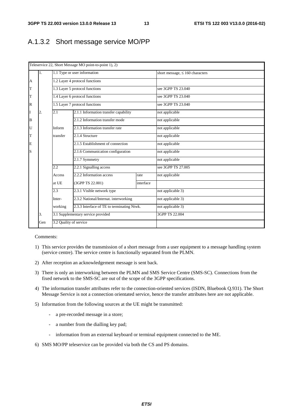### A.1.3.2 Short message service MO/PP

|                |     |                        | Teleservice 22, Short Message MO point-to-point 1), 2)                              |           |                                      |
|----------------|-----|------------------------|-------------------------------------------------------------------------------------|-----------|--------------------------------------|
|                | 1.  |                        | 1.1 Type or user information                                                        |           | short message, $\leq 160$ characters |
| $\overline{A}$ |     |                        | 1.2 Layer 4 protocol functions                                                      |           |                                      |
| T              |     |                        | 1.3 Layer 5 protocol functions                                                      |           | see 3GPP TS 23.040                   |
| T              |     |                        | 1.4 Layer 6 protocol functions                                                      |           | see 3GPP TS 23.040                   |
| $\mathbb R$    |     |                        | 1.5 Layer 7 protocol functions                                                      |           | see 3GPP TS 23.040                   |
| I              | 2.  | 2.1                    | 2.1.1 Information transfer capability                                               |           | not applicable                       |
| $\, {\bf B}$   |     |                        | 2.1.2 Information transfer mode                                                     |           | not applicable                       |
| U              |     | Inform                 | 2.1.3 Information transfer rate                                                     |           | not applicable                       |
| T              |     | transfer               | 2.1.4 Structure                                                                     |           | not applicable                       |
| E              |     |                        | 2.1.5 Establishment of connection                                                   |           | not applicable                       |
| S              |     |                        | 2.1.6 Communication configuration                                                   |           | not applicable                       |
|                |     |                        | 2.1.7 Symmetry                                                                      |           | not applicable                       |
|                |     | 2.2                    | 2.2.1 Signalling access                                                             |           | see 3GPP TS 27,005                   |
|                |     | Access                 | 2.2.2 Information access                                                            | rate      | not applicable                       |
|                |     | at UE                  | (3GPP TS 22.001)                                                                    | interface |                                      |
|                |     | 2.3                    | 2.3.1 Visible network type                                                          |           | not applicable 3)                    |
|                |     | Inter-                 | 2.3.2 National/Internat. interworking<br>2.3.3 Interface of TE to terminating Ntwk. |           | not applicable 3)                    |
|                |     | working                |                                                                                     |           | not applicable 3)                    |
|                | 3.  |                        | 3.1 Supplementary service provided                                                  |           | 3GPP TS 22.004                       |
|                | Gen | 3.2 Quality of service |                                                                                     |           |                                      |

- 1) This service provides the transmission of a short message from a user equipment to a message handling system (service centre). The service centre is functionally separated from the PLMN.
- 2) After reception an acknowledgement message is sent back.
- 3) There is only an interworking between the PLMN and SMS Service Centre (SMS-SC). Connections from the fixed network to the SMS-SC are out of the scope of the 3GPP specifications.
- 4) The information transfer attributes refer to the connection-oriented services (ISDN, Bluebook Q.931). The Short Message Service is not a connection orientated service, hence the transfer attributes here are not applicable.
- 5) Information from the following sources at the UE might be transmitted:
	- a pre-recorded message in a store;
	- a number from the dialling key pad;
	- information from an external keyboard or terminal equipment connected to the ME.
- 6) SMS MO/PP teleservice can be provided via both the CS and PS domains.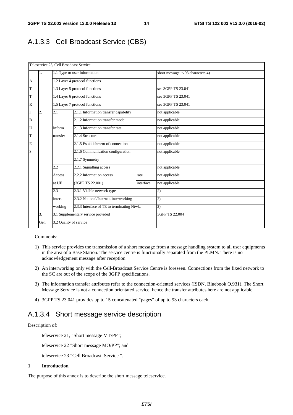#### A.1.3.3 Cell Broadcast Service (CBS)

|                |     | Teleservice 23, Cell Broadcast Service |                                                                                                                   |                                        |                    |
|----------------|-----|----------------------------------------|-------------------------------------------------------------------------------------------------------------------|----------------------------------------|--------------------|
|                | 1.  |                                        | 1.1 Type or user information                                                                                      | short message, $\leq$ 93 characters 4) |                    |
| $\overline{A}$ |     |                                        | 1.2 Layer 4 protocol functions                                                                                    |                                        |                    |
| T              |     |                                        | 1.3 Layer 5 protocol functions                                                                                    |                                        | see 3GPP TS 23.041 |
| T              |     |                                        | 1.4 Layer 6 protocol functions                                                                                    |                                        | see 3GPP TS 23.041 |
| $\mathbb R$    |     |                                        | 1.5 Layer 7 protocol functions                                                                                    |                                        | see 3GPP TS 23.041 |
| I              | 2.  | 2.1                                    | 2.1.1 Information transfer capability                                                                             |                                        | not applicable     |
| B              |     |                                        | 2.1.2 Information transfer mode                                                                                   |                                        | not applicable     |
| U              |     | Inform                                 | 2.1.3 Information transfer rate                                                                                   |                                        | not applicable     |
| T              |     | transfer                               | 2.1.4 Structure                                                                                                   |                                        | not applicable     |
| E              |     |                                        | 2.1.5 Establishment of connection                                                                                 |                                        | not applicable     |
| S              |     |                                        | 2.1.6 Communication configuration                                                                                 |                                        | not applicable     |
|                |     |                                        | 2.1.7 Symmetry                                                                                                    |                                        |                    |
|                |     | 2.2                                    | 2.2.1 Signalling access                                                                                           |                                        | not applicable     |
|                |     | Access                                 | 2.2.2 Information access                                                                                          | rate                                   | not applicable     |
|                |     | at UE                                  | (3GPP TS 22.001)                                                                                                  | interface                              | not applicable     |
|                |     | 2.3                                    | 2.3.1 Visible network type<br>2.3.2 National/Internat. interworking<br>2.3.3 Interface of TE to terminating Ntwk. |                                        | 2)                 |
|                |     | Inter-                                 |                                                                                                                   |                                        | 2)                 |
|                |     | working                                |                                                                                                                   |                                        | (2)                |
|                | 3.  |                                        | 3.1 Supplementary service provided                                                                                |                                        | 3GPP TS 22.004     |
|                | Gen | 3.2 Quality of service                 |                                                                                                                   |                                        |                    |

#### Comments:

- 1) This service provides the transmission of a short message from a message handling system to all user equipments in the area of a Base Station. The service centre is functionally separated from the PLMN. There is no acknowledgement message after reception.
- 2) An interworking only with the Cell-Broadcast Service Centre is foreseen. Connections from the fixed network to the SC are out of the scope of the 3GPP specifications.
- 3) The information transfer attributes refer to the connection-oriented services (ISDN, Bluebook Q.931). The Short Message Service is not a connection orientated service, hence the transfer attributes here are not applicable.
- 4) 3GPP TS 23.041 provides up to 15 concatenated "pages" of up to 93 characters each.

#### A.1.3.4 Short message service description

#### Description of:

teleservice 21, "Short message MT/PP";

teleservice 22 "Short message MO/PP"; and

teleservice 23 "Cell Broadcast Service ".

#### **1 Introduction**

The purpose of this annex is to describe the short message teleservice.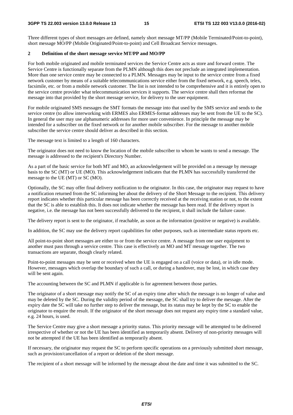Three different types of short messages are defined, namely short message MT/PP (Mobile Terminated/Point-to-point), short message MO/PP (Mobile Originated/Point-to-point) and Cell Broadcast Service messages.

#### **2 Definition of the short message service MT/PP and MO/PP**

For both mobile originated and mobile terminated services the Service Centre acts as store and forward centre. The Service Centre is functionally separate from the PLMN although this does not preclude an integrated implementation. More than one service centre may be connected to a PLMN. Messages may be input to the service centre from a fixed network customer by means of a suitable telecommunications service either from the fixed network, e.g. speech, telex, facsimile, etc. or from a mobile network customer. The list is not intended to be comprehensive and it is entirely open to the service centre provider what telecommunication services it supports. The service centre shall then reformat the message into that provided by the short message service, for delivery to the user equipment.

For mobile originated SMS messages the SMT formats the message into that used by the SMS service and sends to the service centre (to allow interworking with ERMES also ERMES-format addresses may be sent from the UE to the SC). In general the user may use alphanumeric addresses for more user convenience. In principle the message may be intended for a subscriber on the fixed network or for another mobile subscriber. For the message to another mobile subscriber the service centre should deliver as described in this section.

The message text is limited to a length of 160 characters.

The originator does not need to know the location of the mobile subscriber to whom he wants to send a message. The message is addressed to the recipient's Directory Number.

As a part of the basic service for both MT and MO, an acknowledgement will be provided on a message by message basis to the SC (MT) or UE (MO). This acknowledgement indicates that the PLMN has successfully transferred the message to the UE (MT) or SC (MO).

Optionally, the SC may offer final delivery notification to the originator. In this case, the originator may request to have a notification returned from the SC informing her about the delivery of the Short Message to the recipient. This delivery report indicates whether this particular message has been correctly received at the receiving station or not, to the extent that the SC is able to establish this. It does not indicate whether the message has been read. If the delivery report is negative, i.e. the message has not been successfully delivered to the recipient, it shall include the failure cause.

The delivery report is sent to the originator, if reachable, as soon as the information (positive or negative) is available.

In addition, the SC may use the delivery report capabilities for other purposes, such as intermediate status reports etc.

All point-to-point short messages are either to or from the service centre. A message from one user equipment to another must pass through a service centre. This case is effectively an MO and MT message together. The two transactions are separate, though clearly related.

Point-to-point messages may be sent or received when the UE is engaged on a call (voice or data), or in idle mode. However, messages which overlap the boundary of such a call, or during a handover, may be lost, in which case they will be sent again.

The accounting between the SC and PLMN if applicable is for agreement between those parties.

The originator of a short message may notify the SC of an expiry time after which the message is no longer of value and may be deleted by the SC. During the validity period of the message, the SC shall try to deliver the message. After the expiry date the SC will take no further step to deliver the message, but its status may be kept by the SC to enable the originator to enquire the result. If the originator of the short message does not request any expiry time a standard value, e.g. 24 hours, is used.

The Service Centre may give a short message a priority status. This priority message will be attempted to be delivered irrespective of whether or not the UE has been identified as temporarily absent. Delivery of non-priority messages will not be attempted if the UE has been identified as temporarily absent.

If necessary, the originator may request the SC to perform specific operations on a previously submitted short message, such as provision/cancellation of a report or deletion of the short message.

The recipient of a short message will be informed by the message about the date and time it was submitted to the SC.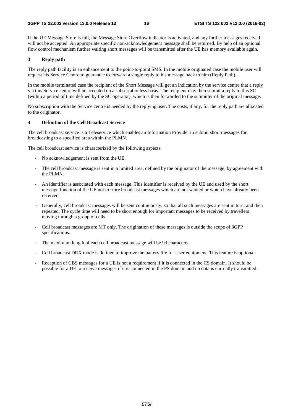If the UE Message Store is full, the Message Store Overflow indicator is activated, and any further messages received will not be accepted. An appropriate specific non-acknowledgement message shall be returned. By help of an optional flow control mechanism further waiting short messages will be transmitted after the UE has memory available again.

#### **3 Reply path**

The reply path facility is an enhancement to the point-to-point SMS. In the mobile originated case the mobile user will request his Service Centre to guarantee to forward a single reply to his message back to him (Reply Path).

In the mobile terminated case the recipient of the Short Message will get an indication by the service centre that a reply via this Service centre will be accepted on a subscriptionless basis. The recipient may then submit a reply to this SC (within a period of time defined by the SC operator), which is then forwarded to the submitter of the original message.

No subscription with the Service centre is needed by the replying user. The costs, if any, for the reply path are allocated to the originator.

#### **4 Definition of the Cell Broadcast Service**

The cell broadcast service is a Teleservice which enables an Information Provider to submit short messages for broadcasting to a specified area within the PLMN.

The cell broadcast service is characterized by the following aspects:

- No acknowledgement is sent from the UE.
- The cell broadcast message is sent in a limited area, defined by the originator of the message, by agreement with the PLMN.
- An identifier is associated with each message. This identifier is received by the UE and used by the short message function of the UE not to store broadcast messages which are not wanted or which have already been received.
- Generally, cell broadcast messages will be sent continuously, so that all such messages are sent in turn, and then repeated. The cycle time will need to be short enough for important messages to be received by travellers moving through a group of cells.
- Cell broadcast messages are MT only. The origination of these messages is outside the scope of 3GPP specifications.
- The maximum length of each cell broadcast message will be 93 characters.
- Cell broadcast DRX mode is defined to improve the battery life for User equipment. This feature is optional.
- Reception of CBS messages for a UE is not a requirement if it is connected in the CS domain. It should be possible for a UE to receive messages if it is connected in the PS domain and no data is currently transmitted.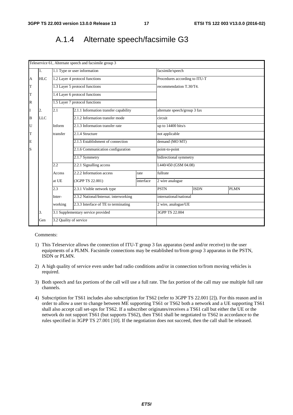### A.1.4 Alternate speech/facsimile G3

|              |            |                        | Teleservice 61, Alternate speech and facsimile group 3 |           |                               |             |             |  |
|--------------|------------|------------------------|--------------------------------------------------------|-----------|-------------------------------|-------------|-------------|--|
|              | 1.         |                        | 1.1 Type or user information                           |           | facsimile/speech              |             |             |  |
| A            | <b>HLC</b> |                        | 1.2 Layer 4 protocol functions                         |           | Procedures according to ITU-T |             |             |  |
| T            |            |                        | 1.3 Layer 5 protocol functions                         |           | recommendation T.30/T4.       |             |             |  |
| T            |            |                        | 1.4 Layer 6 protocol functions                         |           |                               |             |             |  |
| $\mathbb{R}$ |            |                        | 1.5 Layer 7 protocol functions                         |           |                               |             |             |  |
| I            | 2.         | 2.1                    | 2.1.1 Information transfer capability                  |           | alternate speech/group 3 fax  |             |             |  |
| B            | <b>LLC</b> |                        | 2.1.2 Information transfer mode                        |           | circuit                       |             |             |  |
| U            |            | Inform                 | 2.1.3 Information transfer rate                        |           | up to 14400 bits/s            |             |             |  |
| T            |            | transfer               | 2.1.4 Structure                                        |           | not applicable                |             |             |  |
| E            |            |                        | 2.1.5 Establishment of connection                      |           | demand (MO MT)                |             |             |  |
| S            |            |                        | 2.1.6 Communication configuration                      |           | point-to-point                |             |             |  |
|              |            |                        | 2.1.7 Symmetry                                         |           | bidirectional symmetry        |             |             |  |
|              |            | 2.2                    | 2.2.1 Signalling access                                |           | I.440/450 (GSM 04.08)         |             |             |  |
|              |            | Access                 | 2.2.2 Information access                               | rate      | fullrate                      |             |             |  |
|              |            | at UE                  | (3GPP TS 22.001)                                       | interface | 2 wire analogue               |             |             |  |
|              |            | 2.3                    | 2.3.1 Visible network type                             |           | <b>PSTN</b>                   | <b>ISDN</b> | <b>PLMN</b> |  |
|              |            | Inter-                 | 2.3.2 National/Internat. interworking                  |           | international/national        |             |             |  |
|              |            | working                | 2.3.3 Interface of TE to terminating                   |           | 2 wire, analogue/UE           |             |             |  |
|              | 3.         |                        | 3.1 Supplementary service provided                     |           | 3GPP TS 22.004                |             |             |  |
|              | Gen        | 3.2 Quality of service |                                                        |           |                               |             |             |  |

- 1) This Teleservice allows the connection of ITU-T group 3 fax apparatus (send and/or receive) to the user equipments of a PLMN. Facsimile connections may be established to/from group 3 apparatus in the PSTN, ISDN or PLMN.
- 2) A high quality of service even under bad radio conditions and/or in connection to/from moving vehicles is required.
- 3) Both speech and fax portions of the call will use a full rate. The fax portion of the call may use multiple full rate channels.
- 4) Subscription for TS61 includes also subscription for TS62 (refer to 3GPP TS 22.001 [2]). For this reason and in order to allow a user to change between ME supporting TS61 or TS62 both a network and a UE supporting TS61 shall also accept call set-ups for TS62. If a subscriber originates/receives a TS61 call but either the UE or the network do not support TS61 (but supports TS62), then TS61 shall be negotiated to TS62 in accordance to the rules specified in 3GPP TS 27.001 [10]. If the negotiation does not succeed, then the call shall be released.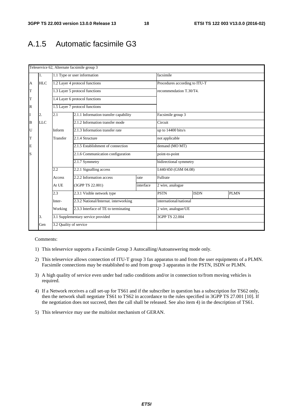### A.1.5 Automatic facsimile G3

|             |            |                              | Teleservice 62, Alternate facsimile group 3 |           |                         |                               |             |  |
|-------------|------------|------------------------------|---------------------------------------------|-----------|-------------------------|-------------------------------|-------------|--|
|             | 1.         | 1.1 Type or user information |                                             |           | facsimile               |                               |             |  |
| A           | <b>HLC</b> |                              | 1.2 Layer 4 protocol functions              |           |                         | Procedures according to ITU-T |             |  |
| $\mathbf T$ |            |                              | 1.3 Layer 5 protocol functions              |           | recommendation T.30/T4. |                               |             |  |
| T           |            |                              | 1.4 Layer 6 protocol functions              |           |                         |                               |             |  |
| $\mathbb R$ |            |                              | 1.5 Layer 7 protocol functions              |           |                         |                               |             |  |
| I           | 2.         | 2.1                          | 2.1.1 Information transfer capability       |           | Facsimile group 3       |                               |             |  |
| B           | <b>LLC</b> |                              | 2.1.2 Information transfer mode             |           | Circuit                 |                               |             |  |
| U           |            | Inform                       | 2.1.3 Information transfer rate             |           | up to 14400 bits/s      |                               |             |  |
| T           |            | Transfer                     | 2.1.4 Structure                             |           | not applicable          |                               |             |  |
| E           |            |                              | 2.1.5 Establishment of connection           |           | demand (MO MT)          |                               |             |  |
| S           |            |                              | 2.1.6 Communication configuration           |           | point-to-point          |                               |             |  |
|             |            |                              | 2.1.7 Symmetry                              |           | bidirectional symmetry  |                               |             |  |
|             |            | 2.2                          | 2.2.1 Signalling access                     |           | I.440/450 (GSM 04.08)   |                               |             |  |
|             |            | Access                       | 2.2.2 Information access                    | rate      | Fullrate                |                               |             |  |
|             |            | At UE                        | (3GPP TS 22.001)                            | interface | 2 wire, analogue        |                               |             |  |
|             |            | 2.3                          | 2.3.1 Visible network type                  |           | <b>PSTN</b>             | <b>ISDN</b>                   | <b>PLMN</b> |  |
|             |            | Inter-                       | 2.3.2 National/Internat. interworking       |           | international/national  |                               |             |  |
|             |            | Working                      | 2.3.3 Interface of TE to terminating        |           | 2 wire, analogue/UE     |                               |             |  |
|             | 3.         |                              | 3.1 Supplementary service provided          |           | 3GPP TS 22.004          |                               |             |  |
|             | Gen        | 3.2 Quality of service       |                                             |           |                         |                               |             |  |

- 1) This teleservice supports a Facsimile Group 3 Autocalling/Autoanswering mode only.
- 2) This teleservice allows connection of ITU-T group 3 fax apparatus to and from the user equipments of a PLMN. Facsimile connections may be established to and from group 3 apparatus in the PSTN, ISDN or PLMN.
- 3) A high quality of service even under bad radio conditions and/or in connection to/from moving vehicles is required.
- 4) If a Network receives a call set-up for TS61 and if the subscriber in question has a subscription for TS62 only, then the network shall negotiate TS61 to TS62 in accordance to the rules specified in 3GPP TS 27.001 [10]. If the negotiation does not succeed, then the call shall be released. See also item 4) in the description of TS61.
- 5) This teleservice may use the multislot mechanism of GERAN.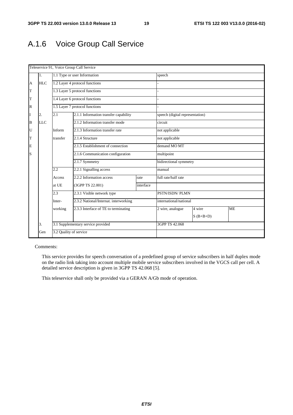## A.1.6 Voice Group Call Service

|                |            |                        | Teleservice 91, Voice Group Call Service |           |                                 |             |           |  |
|----------------|------------|------------------------|------------------------------------------|-----------|---------------------------------|-------------|-----------|--|
|                | 1.         |                        | 1.1 Type or user Information             |           | speech                          |             |           |  |
| $\overline{A}$ | HLC        |                        | 1.2 Layer 4 protocol functions           |           |                                 |             |           |  |
| $\mathbf T$    |            |                        | 1.3 Layer 5 protocol functions           |           |                                 |             |           |  |
| T              |            |                        | 1.4 Layer 6 protocol functions           |           |                                 |             |           |  |
| $\mathbb R$    |            |                        | 1.5 Layer 7 protocol functions           |           |                                 |             |           |  |
| I              | 2.         | 2.1                    | 2.1.1 Information transfer capability    |           | speech (digital representation) |             |           |  |
| $\, {\bf B}$   | <b>LLC</b> |                        | 2.1.2 Information transfer mode          |           | circuit                         |             |           |  |
| $\mathbf U$    |            | Inform                 | 2.1.3 Information transfer rate          |           | not applicable                  |             |           |  |
| T              |            | transfer               | 2.1.4 Structure                          |           | not applicable                  |             |           |  |
| E              |            |                        | 2.1.5 Establishment of connection        |           | demand MO MT                    |             |           |  |
| S              |            |                        | 2.1.6 Communication configuration        |           | multipoint                      |             |           |  |
|                |            |                        | 2.1.7 Symmetry                           |           | bidirectional symmetry          |             |           |  |
|                |            | 2.2                    | 2.2.1 Signalling access                  |           | manual                          |             |           |  |
|                |            | Access                 | 2.2.2 Information access                 | rate      | full rate/half rate             |             |           |  |
|                |            | at UE                  | (3GPP TS 22.001)                         | interface |                                 |             |           |  |
|                |            | 2.3                    | 2.3.1 Visible network type               |           | PSTN/ISDN/ PLMN                 |             |           |  |
|                |            | Inter-                 | 2.3.2 National/Internat. interworking    |           | international/national          |             |           |  |
|                |            | working                | 2.3.3 Interface of TE to terminating     |           | 2 wire, analogue                | 4 wire      | <b>ME</b> |  |
|                |            |                        |                                          |           |                                 | $S$ (B+B+D) |           |  |
|                | 3.         |                        | 3.1 Supplementary service provided       |           | 3GPP TS 42.068                  |             |           |  |
|                | Gen        | 3.2 Quality of service |                                          |           |                                 |             |           |  |

Comments:

 This service provides for speech conversation of a predefined group of service subscribers in half duplex mode on the radio link taking into account multiple mobile service subscribers involved in the VGCS call per cell. A detailed service description is given in 3GPP TS 42.068 [5].

This teleservice shall only be provided via a GERAN A/Gb mode of operation.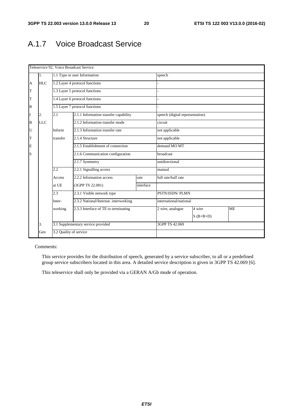### A.1.7 Voice Broadcast Service

|          | Teleservice 92, Voice Broadcast Service |                                   |                                       |                                 |                     |                        |           |  |  |  |
|----------|-----------------------------------------|-----------------------------------|---------------------------------------|---------------------------------|---------------------|------------------------|-----------|--|--|--|
|          | 1.                                      |                                   | 1.1 Type or user Information          |                                 | speech              |                        |           |  |  |  |
| A        | <b>HLC</b>                              |                                   | 1.2 Layer 4 protocol functions        |                                 |                     |                        |           |  |  |  |
| T        |                                         |                                   | 1.3 Layer 5 protocol functions        |                                 |                     |                        |           |  |  |  |
| T        |                                         |                                   | 1.4 Layer 6 protocol functions        |                                 |                     |                        |           |  |  |  |
| R        |                                         |                                   | 1.5 Layer 7 protocol functions        |                                 |                     |                        |           |  |  |  |
| I        | 2.                                      | 2.1                               | 2.1.1 Information transfer capability | speech (digital representation) |                     |                        |           |  |  |  |
| $\bf{B}$ | <b>LLC</b>                              |                                   | 2.1.2 Information transfer mode       | circuit                         |                     |                        |           |  |  |  |
| U        |                                         | Inform                            | 2.1.3 Information transfer rate       |                                 | not applicable      |                        |           |  |  |  |
| T        |                                         | transfer                          | 2.1.4 Structure                       |                                 | not applicable      |                        |           |  |  |  |
| E        |                                         |                                   | 2.1.5 Establishment of connection     |                                 | demand MO MT        |                        |           |  |  |  |
| S        |                                         |                                   | 2.1.6 Communication configuration     |                                 | broadcast           |                        |           |  |  |  |
|          |                                         |                                   | 2.1.7 Symmetry                        |                                 |                     | unidirectional         |           |  |  |  |
|          |                                         | 2.2                               | 2.2.1 Signalling access               |                                 | manual              |                        |           |  |  |  |
|          |                                         | Access                            | 2.2.2 Information access              | rate                            | full rate/half rate |                        |           |  |  |  |
|          |                                         | at UE                             | (3GPP TS 22.001)                      | interface                       |                     |                        |           |  |  |  |
|          |                                         | 2.3<br>2.3.1 Visible network type |                                       | PSTN/ISDN/ PLMN                 |                     |                        |           |  |  |  |
|          |                                         | Inter-                            | 2.3.2 National/Internat. interworking |                                 |                     | international/national |           |  |  |  |
|          |                                         | working                           | 2.3.3 Interface of TE to terminating  |                                 | 2 wire, analogue    | 4 wire                 | <b>ME</b> |  |  |  |
|          |                                         |                                   |                                       |                                 |                     | $S$ (B+B+D)            |           |  |  |  |
|          | 3.                                      |                                   | 3.1 Supplementary service provided    | 3GPP TS 42.069                  |                     |                        |           |  |  |  |
|          | Gen                                     | 3.2 Quality of service            |                                       |                                 |                     |                        |           |  |  |  |

#### Comments:

 This service provides for the distribution of speech, generated by a service subscriber, to all or a predefined group service subscribers located in this area. A detailed service description is given in 3GPP TS 42.069 [6].

This teleservice shall only be provided via a GERAN A/Gb mode of operation.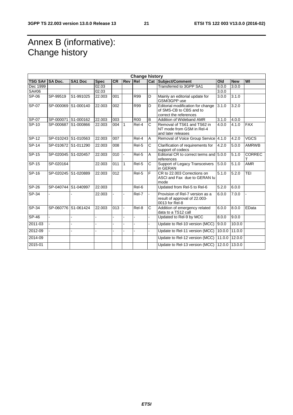## Annex B (informative): Change history

| <b>Change history</b> |                     |                |             |           |              |                     |                       |                                                                                        |        |            |               |
|-----------------------|---------------------|----------------|-------------|-----------|--------------|---------------------|-----------------------|----------------------------------------------------------------------------------------|--------|------------|---------------|
| <b>TSG SA#</b>        | <b>SA Doc.</b>      | <b>SA1 Doc</b> | <b>Spec</b> | <b>CR</b> | Rev          | <b>Rel</b>          |                       | <b>Cat Subject/Comment</b>                                                             | Old    | <b>New</b> | WI            |
| Dec 1999              |                     |                | 02.03       |           |              |                     |                       | Transferred to 3GPP SA1                                                                | 8.0.0  | 3.0.0      |               |
| SA#06                 |                     |                | 02.03       |           |              |                     |                       |                                                                                        | 3.0.0  |            |               |
| SP-06                 | SP-99519            | S1-991025      | 22.003      | 001       |              | <b>R99</b>          | D                     | Mainly an editorial update for<br>GSM/3GPP use                                         | 3.0.0  | 3.1.0      |               |
| SP-07                 | SP-000069 S1-000140 |                | 22.003      | 002       |              | R99                 | D                     | Editorial modification for change<br>of SMS-CB to CBS and to<br>correct the references | 3.1.0  | 3.2.0      |               |
| SP-07                 | SP-000071 S1-000162 |                | 22.003      | 003       |              | <b>R00</b>          | B                     | Addition of Wideband AMR                                                               | 3.1.0  | 4.0.0      |               |
| SP-10                 | SP-000687 S1-000866 |                | 22.003      | 004       | 1            | Rel-4               | Ć                     | Removal of TS61 and TS62 in<br>NT mode from GSM in Rel-4<br>and later releases         | 4.0.0  | 4.1.0      | <b>FAX</b>    |
| $SP-12$               | SP-010243 S1-010563 |                | 22.003      | 007       |              | Rel-4               | A                     | Removal of Voice Group Service 4.1.0                                                   |        | 4.2.0      | <b>VGCS</b>   |
| <b>SP-14</b>          | SP-010672 S1-011290 |                | 22.003      | 008       |              | Rel-5               | C                     | Clarification of requirements for<br>support of codecs                                 | 4.2.0  | 5.0.0      | <b>AMRWB</b>  |
| $SP-15$               | SP-020045 S1-020457 |                | 22.003      | 010       |              | Rel-5               | A                     | Editorial CR to correct terms and 5.0.0<br>references                                  |        | 5.1.0      | <b>CORREC</b> |
| SP-15                 | SP-020164           |                | 22.003      | 011       | $\mathbf{1}$ | Rel-5               | C                     | Support of Legacy Transceivers<br>in GERAN                                             | 5.0.0  | 5.1.0      | <b>AMR</b>    |
| $SP-16$               | SP-020245 S1-020889 |                | 22.003      | 012       |              | $\overline{ReI}$ -5 | F                     | CR to 22.003 Corrections on<br>ASCI and Fax due to GERAN lu<br>mode                    | 5.1.0  | 5.2.0      | <b>TEI</b>    |
| $SP-26$               | SP-040744 S1-040997 |                | 22.003      |           |              | Rel-6               |                       | Updated from Rel-5 to Rel-6                                                            | 5.2.0  | 6.0.0      |               |
| $SP-34$               |                     |                | 22.003      |           |              | Rel-7               |                       | Provision of Rel-7 version as a<br>result of approval of 22.003-<br>0013 for Rel-8     | 6.0.0  | 7.0.0      |               |
| $SP-34$               | SP-060776 S1-061424 |                | 22.003      | 013       |              | Rel-8               | $\overline{\text{c}}$ | Addition of emergency related<br>data to a TS12 call                                   | 6.0.0  | 8.0.0      | EData         |
| SP-46                 |                     |                |             |           |              |                     |                       | Updated to Rel-9 by MCC                                                                | 8.0.0  | 9.0.0      |               |
| 2011-03               |                     |                |             |           |              |                     | $\overline{a}$        | Update to Rel-10 version (MCC)                                                         | 9.0.0  | 10.0.0     |               |
| 2012-09               |                     |                |             |           |              |                     | L.                    | Update to Rel-11 version (MCC)                                                         | 10.0.0 | 11.0.0     |               |
| 2014-09               |                     |                |             |           |              |                     |                       | Update to Rel-12 version (MCC)                                                         | 11.0.0 | 12.0.0     |               |
| 2015-01               |                     |                |             |           |              |                     |                       | Update to Rel-13 version (MCC)                                                         | 12.0.0 | 13.0.0     |               |